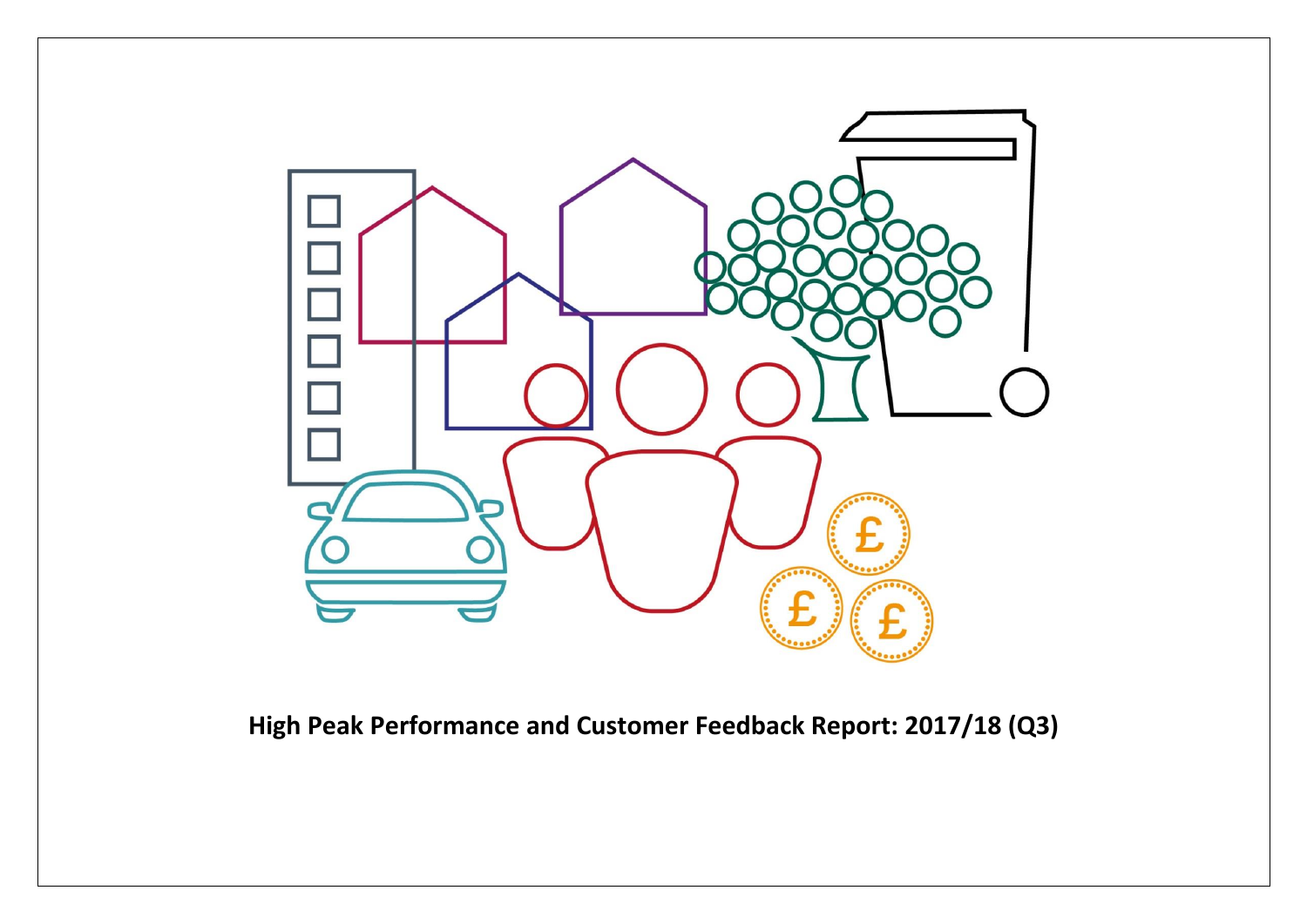

**High Peak Performance and Customer Feedback Report: 2017/18 (Q3)**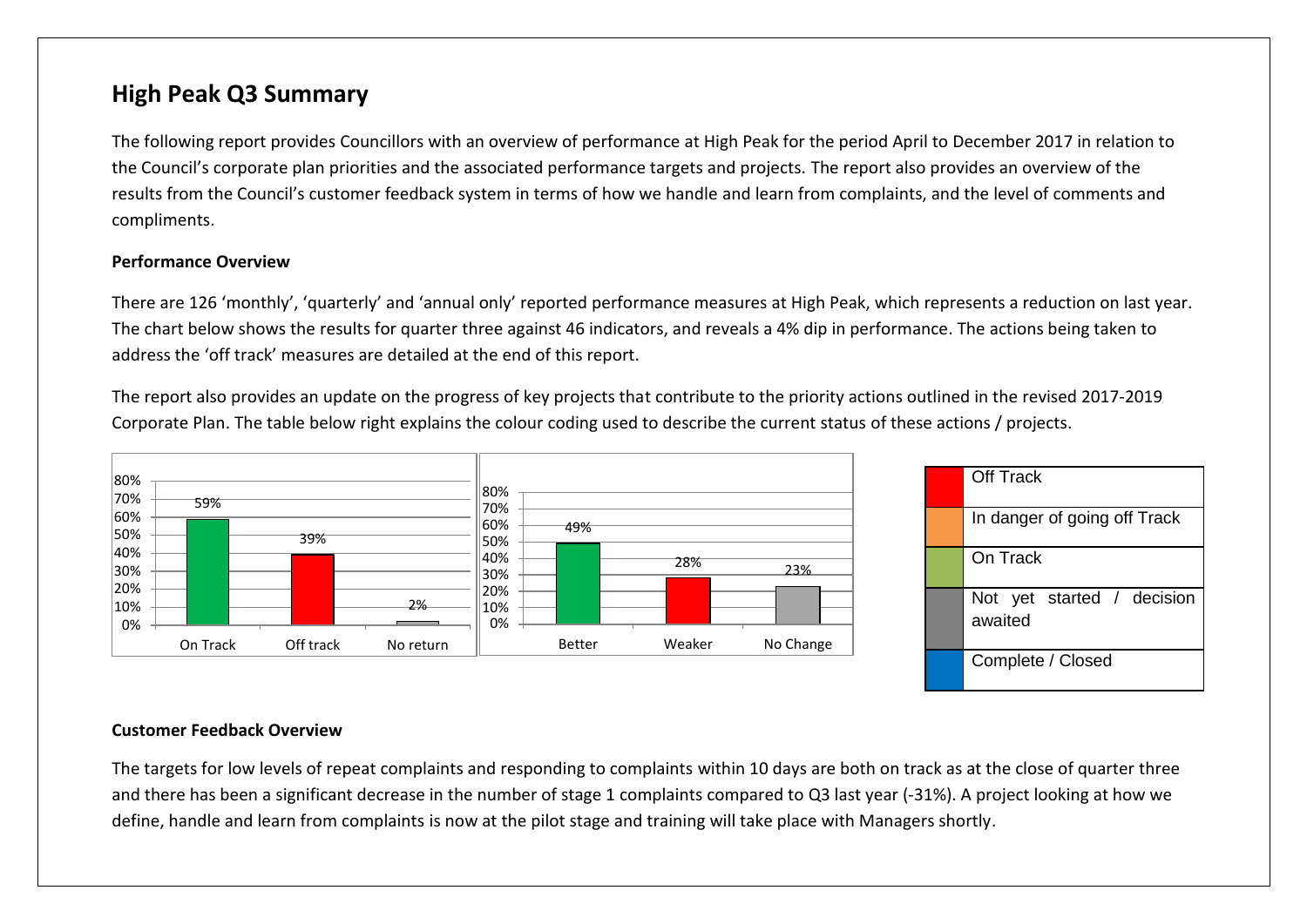## **High Peak Q3 Summary**

The following report provides Councillors with an overview of performance at High Peak for the period April to December 2017 in relation to the Council's corporate plan priorities and the associated performance targets and projects. The report also provides an overview of the results from the Council's customer feedback system in terms of how we handle and learn from complaints, and the level of comments and compliments.

#### **Performance Overview**

There are 126 'monthly', 'quarterly' and 'annual only' reported performance measures at High Peak, which represents a reduction on last year. The chart below shows the results for quarter three against 46 indicators, and reveals a 4% dip in performance. The actions being taken to address the 'off track' measures are detailed at the end of this report.

The report also provides an update on the progress of key projects that contribute to the priority actions outlined in the revised 2017-2019 Corporate Plan. The table below right explains the colour coding used to describe the current status of these actions / projects.



#### **Customer Feedback Overview**

The targets for low levels of repeat complaints and responding to complaints within 10 days are both on track as at the close of quarter three and there has been a significant decrease in the number of stage 1 complaints compared to Q3 last year (-31%). A project looking at how we define, handle and learn from complaints is now at the pilot stage and training will take place with Managers shortly.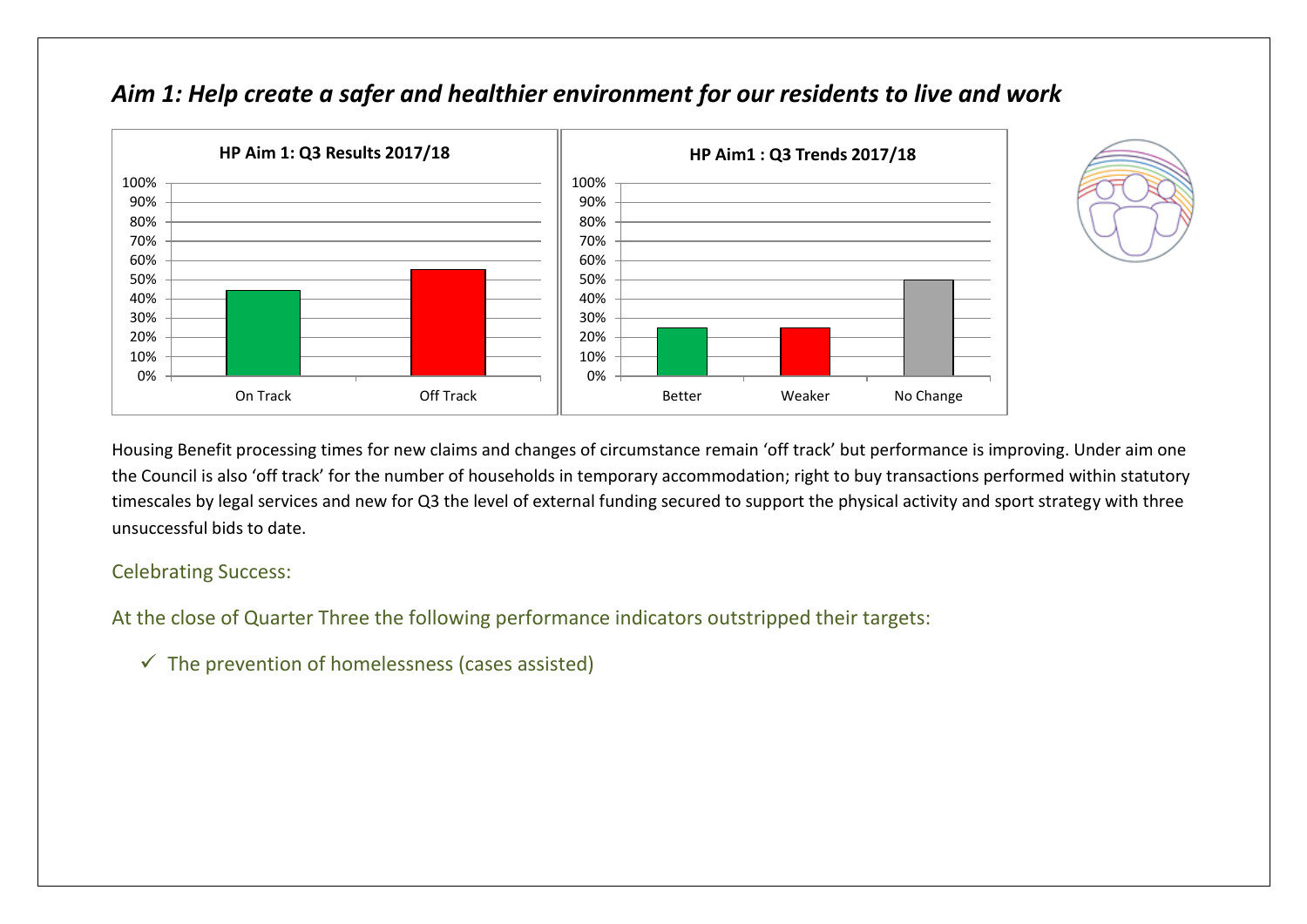

## *Aim 1: Help create a safer and healthier environment for our residents to live and work*



Housing Benefit processing times for new claims and changes of circumstance remain 'off track' but performance is improving. Under aim one the Council is also 'off track' for the number of households in temporary accommodation; right to buy transactions performed within statutory timescales by legal services and new for Q3 the level of external funding secured to support the physical activity and sport strategy with three unsuccessful bids to date.

#### Celebrating Success:

At the close of Quarter Three the following performance indicators outstripped their targets:

 $\checkmark$  The prevention of homelessness (cases assisted)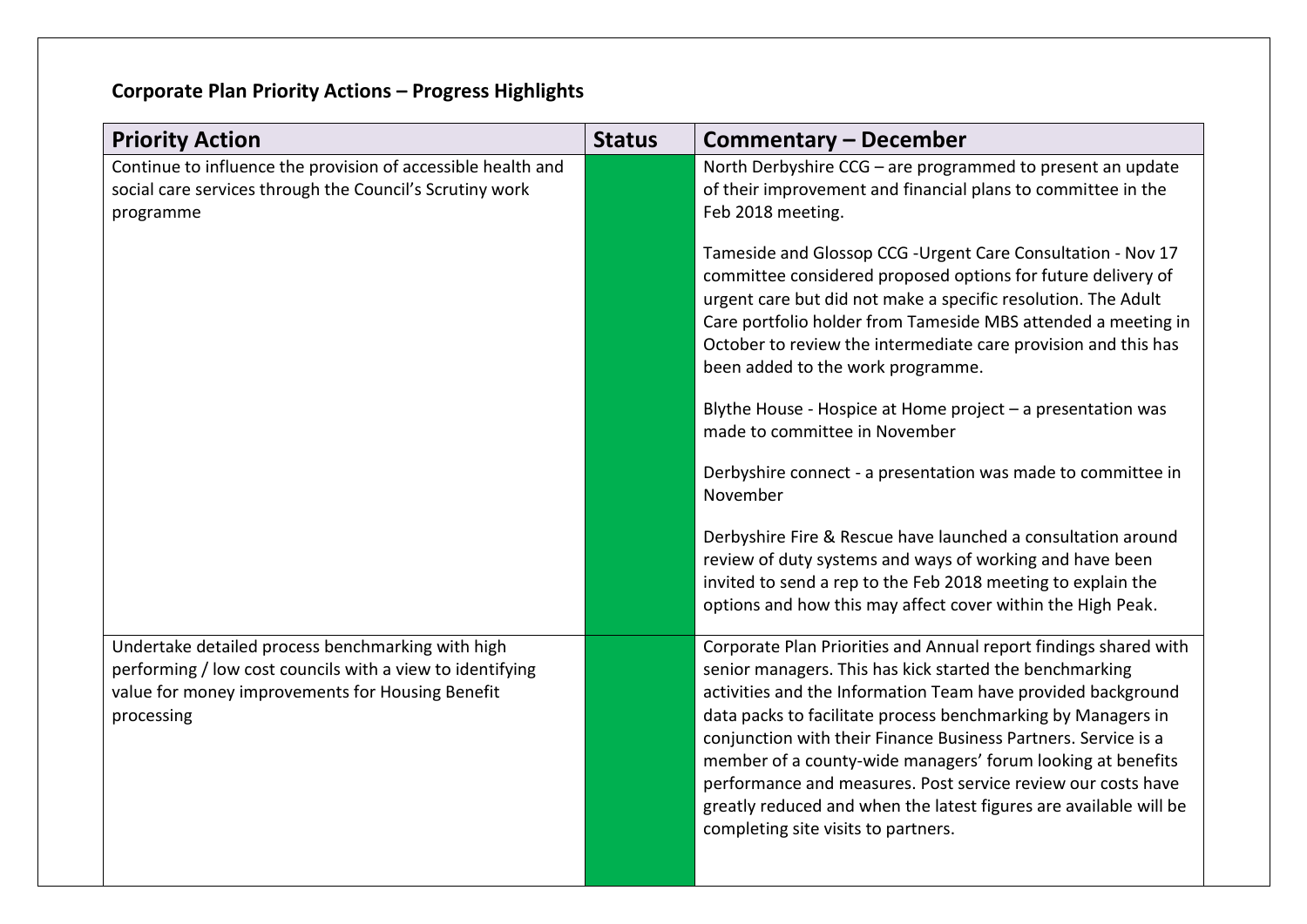# **Corporate Plan Priority Actions – Progress Highlights**

| <b>Priority Action</b>                                                                                                                                                           | <b>Status</b> | <b>Commentary - December</b>                                                                                                                                                                                                                                                                                                                                                                                                                                                                                                                                             |
|----------------------------------------------------------------------------------------------------------------------------------------------------------------------------------|---------------|--------------------------------------------------------------------------------------------------------------------------------------------------------------------------------------------------------------------------------------------------------------------------------------------------------------------------------------------------------------------------------------------------------------------------------------------------------------------------------------------------------------------------------------------------------------------------|
| Continue to influence the provision of accessible health and<br>social care services through the Council's Scrutiny work<br>programme                                            |               | North Derbyshire CCG - are programmed to present an update<br>of their improvement and financial plans to committee in the<br>Feb 2018 meeting.                                                                                                                                                                                                                                                                                                                                                                                                                          |
|                                                                                                                                                                                  |               | Tameside and Glossop CCG - Urgent Care Consultation - Nov 17<br>committee considered proposed options for future delivery of<br>urgent care but did not make a specific resolution. The Adult<br>Care portfolio holder from Tameside MBS attended a meeting in<br>October to review the intermediate care provision and this has<br>been added to the work programme.                                                                                                                                                                                                    |
|                                                                                                                                                                                  |               | Blythe House - Hospice at Home project - a presentation was<br>made to committee in November                                                                                                                                                                                                                                                                                                                                                                                                                                                                             |
|                                                                                                                                                                                  |               | Derbyshire connect - a presentation was made to committee in<br>November                                                                                                                                                                                                                                                                                                                                                                                                                                                                                                 |
|                                                                                                                                                                                  |               | Derbyshire Fire & Rescue have launched a consultation around<br>review of duty systems and ways of working and have been<br>invited to send a rep to the Feb 2018 meeting to explain the<br>options and how this may affect cover within the High Peak.                                                                                                                                                                                                                                                                                                                  |
| Undertake detailed process benchmarking with high<br>performing / low cost councils with a view to identifying<br>value for money improvements for Housing Benefit<br>processing |               | Corporate Plan Priorities and Annual report findings shared with<br>senior managers. This has kick started the benchmarking<br>activities and the Information Team have provided background<br>data packs to facilitate process benchmarking by Managers in<br>conjunction with their Finance Business Partners. Service is a<br>member of a county-wide managers' forum looking at benefits<br>performance and measures. Post service review our costs have<br>greatly reduced and when the latest figures are available will be<br>completing site visits to partners. |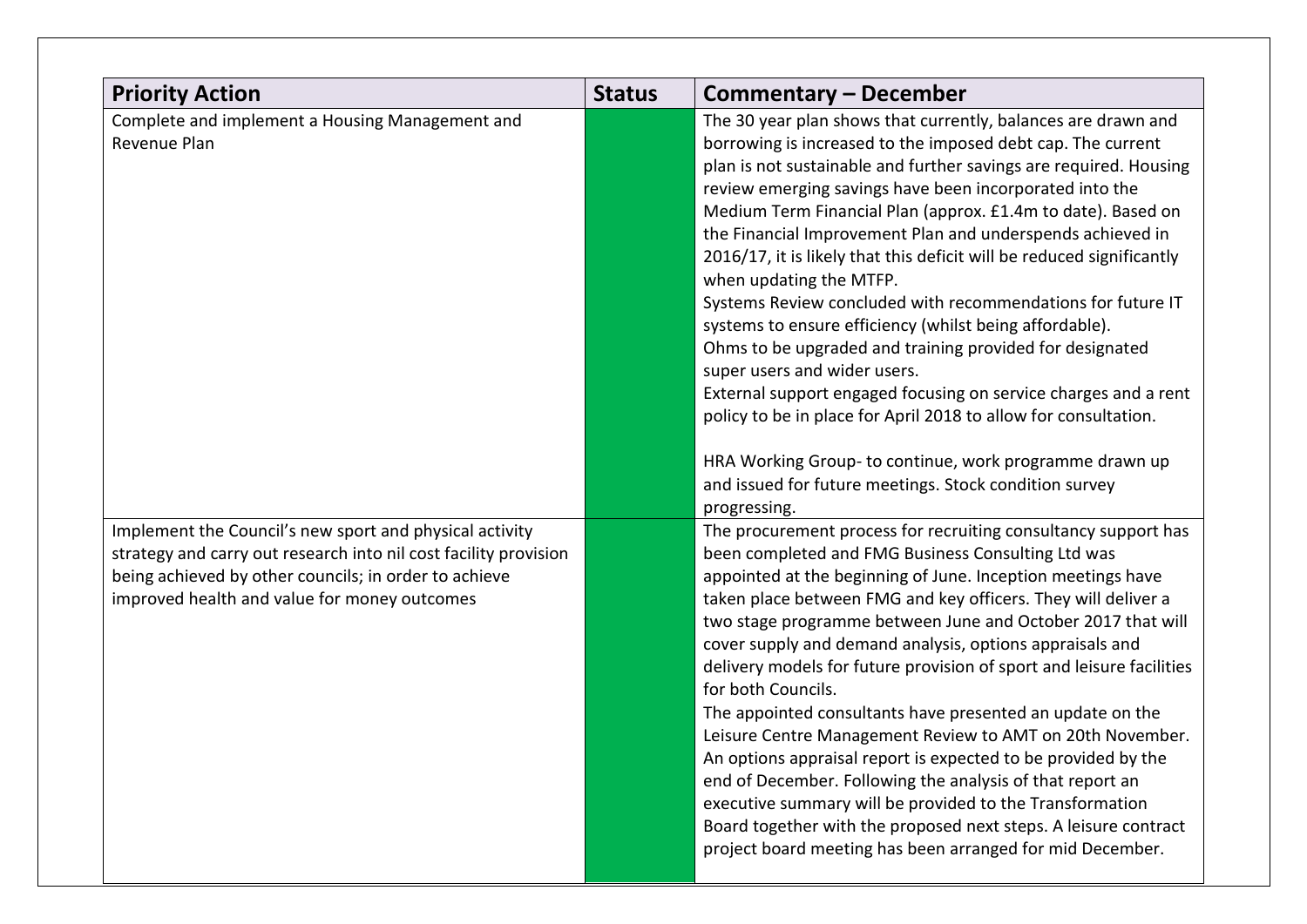| <b>Priority Action</b>                                                                                                                                                                                                               | <b>Status</b> | <b>Commentary – December</b>                                                                                                                                                                                                                                                                                                                                                                                                                                                                                                                                                                                                                                                                                                                                                                                                                                                                                                                                                                   |
|--------------------------------------------------------------------------------------------------------------------------------------------------------------------------------------------------------------------------------------|---------------|------------------------------------------------------------------------------------------------------------------------------------------------------------------------------------------------------------------------------------------------------------------------------------------------------------------------------------------------------------------------------------------------------------------------------------------------------------------------------------------------------------------------------------------------------------------------------------------------------------------------------------------------------------------------------------------------------------------------------------------------------------------------------------------------------------------------------------------------------------------------------------------------------------------------------------------------------------------------------------------------|
| Complete and implement a Housing Management and<br>Revenue Plan                                                                                                                                                                      |               | The 30 year plan shows that currently, balances are drawn and<br>borrowing is increased to the imposed debt cap. The current<br>plan is not sustainable and further savings are required. Housing<br>review emerging savings have been incorporated into the<br>Medium Term Financial Plan (approx. £1.4m to date). Based on<br>the Financial Improvement Plan and underspends achieved in<br>2016/17, it is likely that this deficit will be reduced significantly<br>when updating the MTFP.<br>Systems Review concluded with recommendations for future IT<br>systems to ensure efficiency (whilst being affordable).<br>Ohms to be upgraded and training provided for designated<br>super users and wider users.<br>External support engaged focusing on service charges and a rent<br>policy to be in place for April 2018 to allow for consultation.<br>HRA Working Group-to continue, work programme drawn up<br>and issued for future meetings. Stock condition survey<br>progressing. |
| Implement the Council's new sport and physical activity<br>strategy and carry out research into nil cost facility provision<br>being achieved by other councils; in order to achieve<br>improved health and value for money outcomes |               | The procurement process for recruiting consultancy support has<br>been completed and FMG Business Consulting Ltd was<br>appointed at the beginning of June. Inception meetings have<br>taken place between FMG and key officers. They will deliver a<br>two stage programme between June and October 2017 that will<br>cover supply and demand analysis, options appraisals and<br>delivery models for future provision of sport and leisure facilities<br>for both Councils.<br>The appointed consultants have presented an update on the<br>Leisure Centre Management Review to AMT on 20th November.<br>An options appraisal report is expected to be provided by the<br>end of December. Following the analysis of that report an<br>executive summary will be provided to the Transformation<br>Board together with the proposed next steps. A leisure contract<br>project board meeting has been arranged for mid December.                                                              |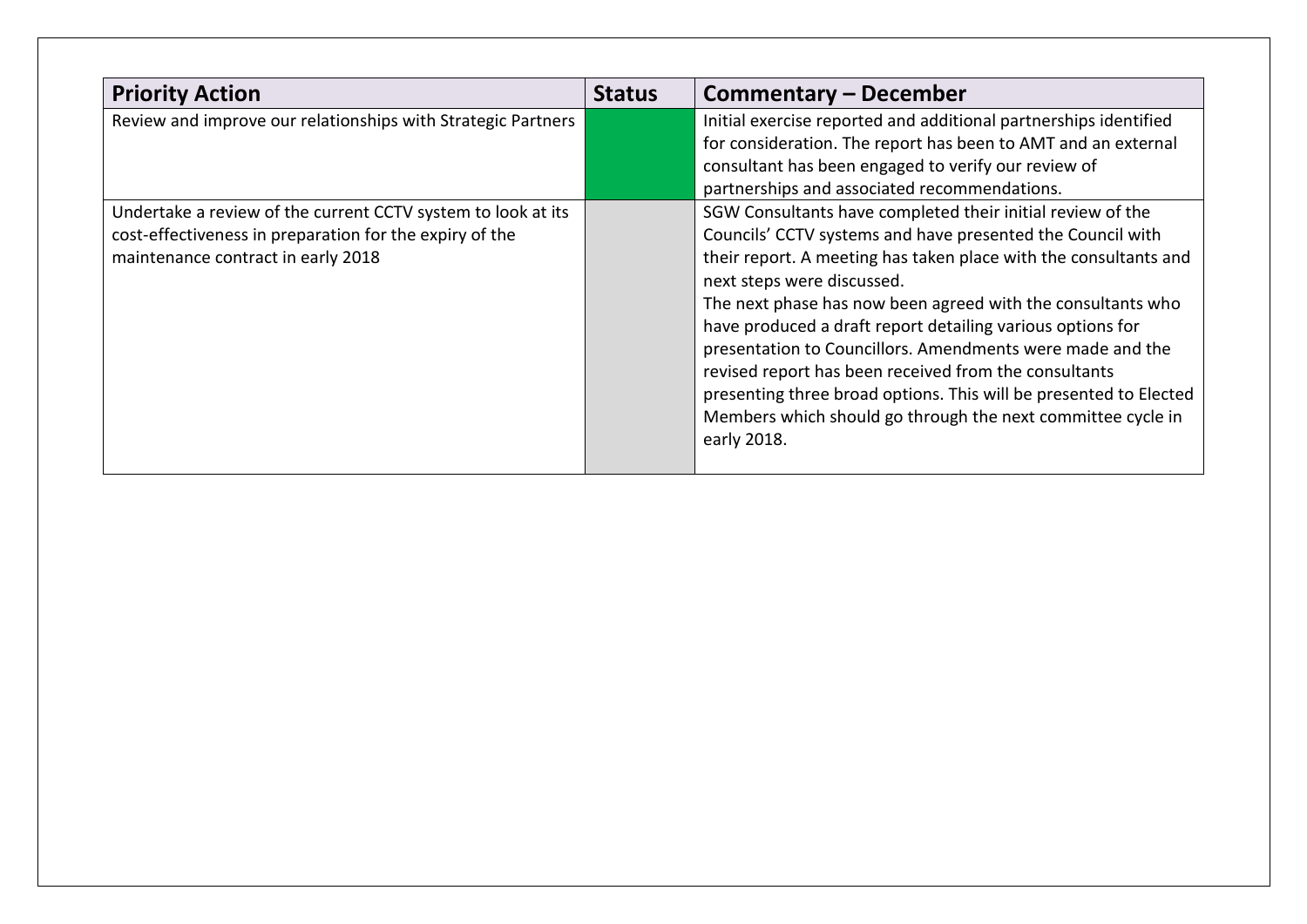| <b>Priority Action</b>                                                                                                                                        | <b>Status</b> | <b>Commentary - December</b>                                                                                                                                                                                                                                                                                                                                                                                                                                                                                                                                                                                                     |
|---------------------------------------------------------------------------------------------------------------------------------------------------------------|---------------|----------------------------------------------------------------------------------------------------------------------------------------------------------------------------------------------------------------------------------------------------------------------------------------------------------------------------------------------------------------------------------------------------------------------------------------------------------------------------------------------------------------------------------------------------------------------------------------------------------------------------------|
| Review and improve our relationships with Strategic Partners                                                                                                  |               | Initial exercise reported and additional partnerships identified<br>for consideration. The report has been to AMT and an external<br>consultant has been engaged to verify our review of                                                                                                                                                                                                                                                                                                                                                                                                                                         |
|                                                                                                                                                               |               | partnerships and associated recommendations.                                                                                                                                                                                                                                                                                                                                                                                                                                                                                                                                                                                     |
| Undertake a review of the current CCTV system to look at its<br>cost-effectiveness in preparation for the expiry of the<br>maintenance contract in early 2018 |               | SGW Consultants have completed their initial review of the<br>Councils' CCTV systems and have presented the Council with<br>their report. A meeting has taken place with the consultants and<br>next steps were discussed.<br>The next phase has now been agreed with the consultants who<br>have produced a draft report detailing various options for<br>presentation to Councillors. Amendments were made and the<br>revised report has been received from the consultants<br>presenting three broad options. This will be presented to Elected<br>Members which should go through the next committee cycle in<br>early 2018. |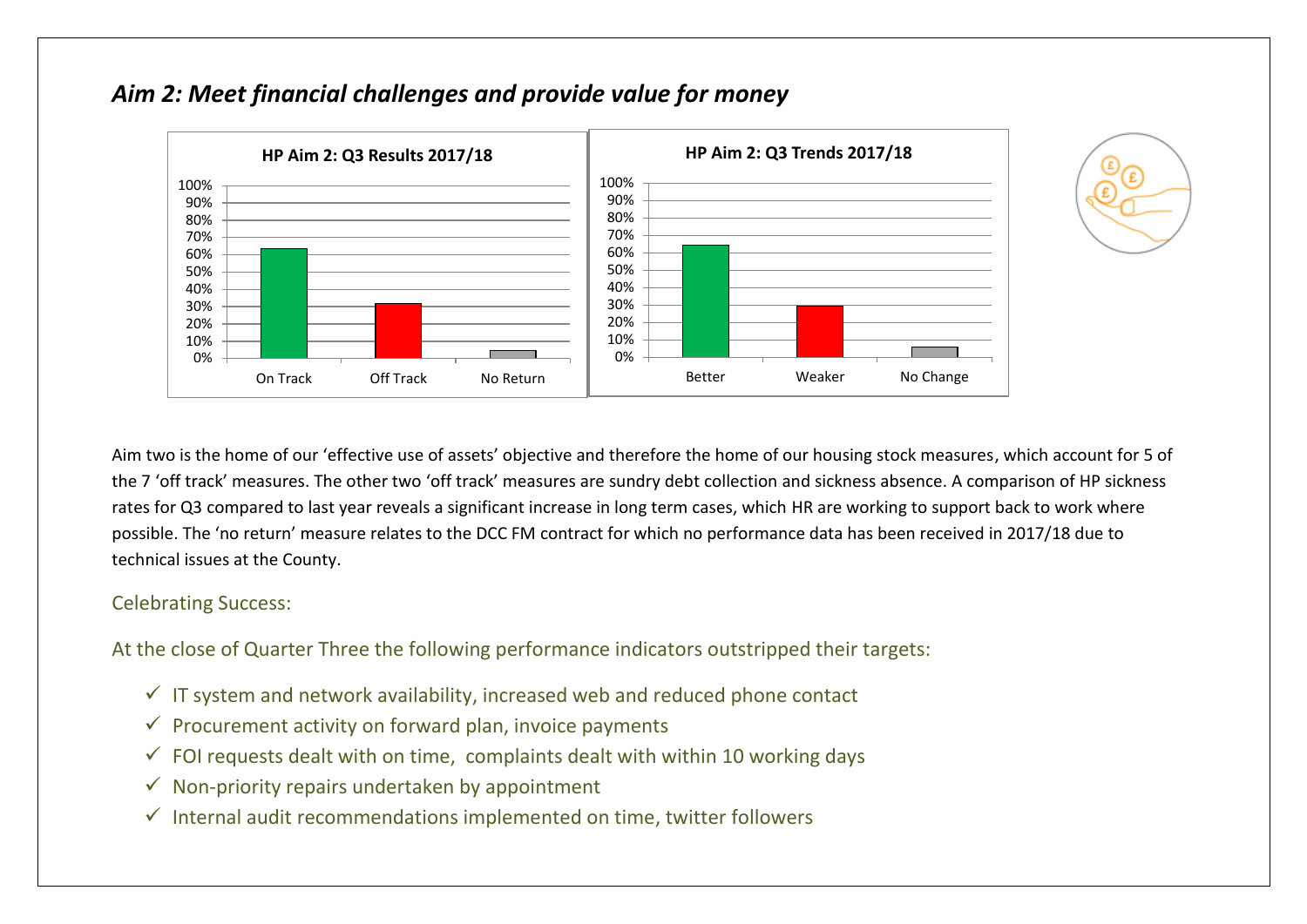

## *Aim 2: Meet financial challenges and provide value for money*



Aim two is the home of our 'effective use of assets' objective and therefore the home of our housing stock measures, which account for 5 of the 7 'off track' measures. The other two 'off track' measures are sundry debt collection and sickness absence. A comparison of HP sickness rates for Q3 compared to last year reveals a significant increase in long term cases, which HR are working to support back to work where possible. The 'no return' measure relates to the DCC FM contract for which no performance data has been received in 2017/18 due to technical issues at the County.

#### Celebrating Success:

At the close of Quarter Three the following performance indicators outstripped their targets:

- $\checkmark$  IT system and network availability, increased web and reduced phone contact
- $\checkmark$  Procurement activity on forward plan, invoice payments
- $\checkmark$  FOI requests dealt with on time, complaints dealt with within 10 working days
- $\checkmark$  Non-priority repairs undertaken by appointment
- $\checkmark$  Internal audit recommendations implemented on time, twitter followers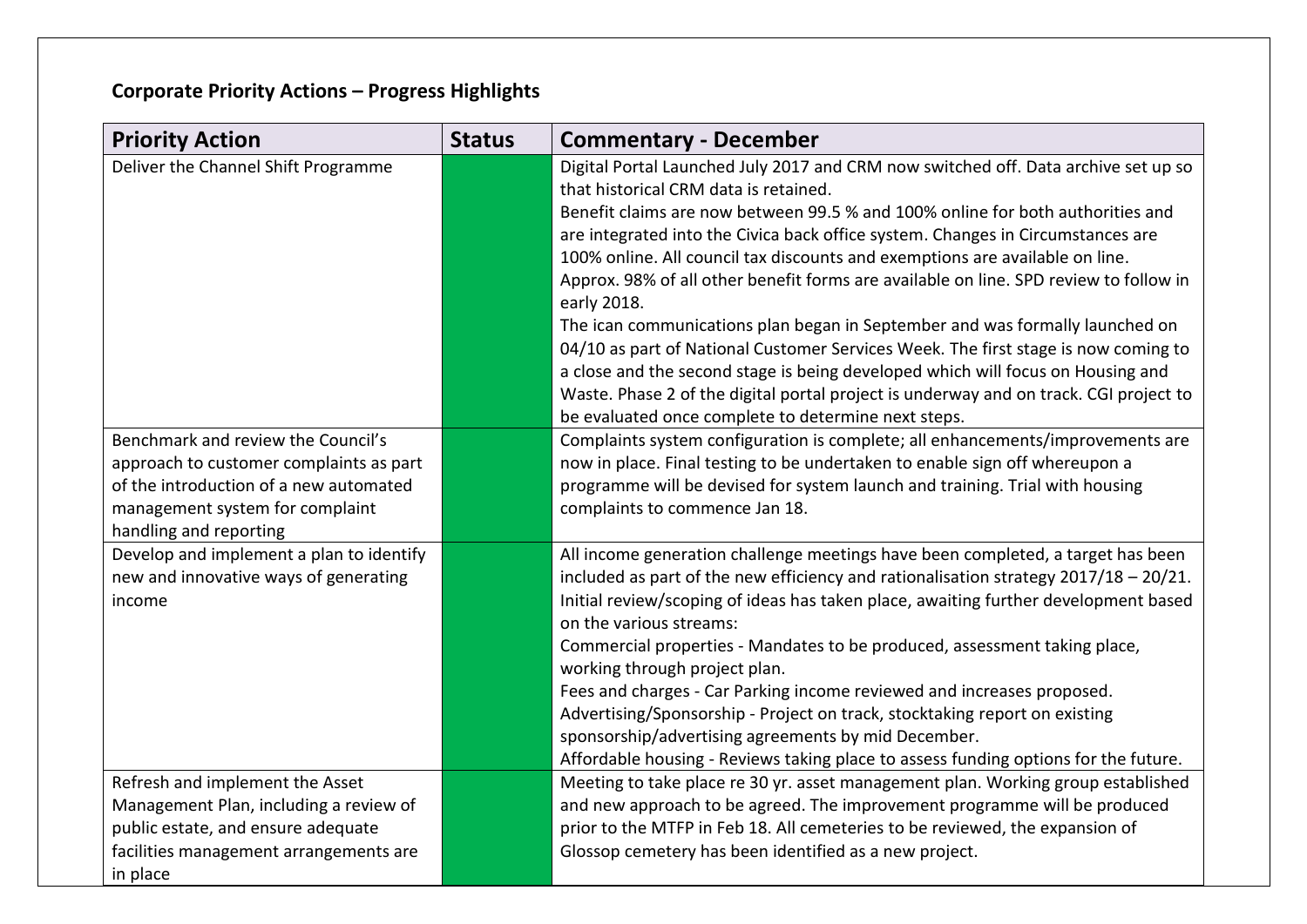# **Corporate Priority Actions – Progress Highlights**

| <b>Priority Action</b>                                                                                                                                                               | <b>Status</b> | <b>Commentary - December</b>                                                                                                                                                                                                                                                                                                                                                                                                                                                                                                                                                                                                                                                                                                                                                                                                                                                                      |
|--------------------------------------------------------------------------------------------------------------------------------------------------------------------------------------|---------------|---------------------------------------------------------------------------------------------------------------------------------------------------------------------------------------------------------------------------------------------------------------------------------------------------------------------------------------------------------------------------------------------------------------------------------------------------------------------------------------------------------------------------------------------------------------------------------------------------------------------------------------------------------------------------------------------------------------------------------------------------------------------------------------------------------------------------------------------------------------------------------------------------|
| Deliver the Channel Shift Programme                                                                                                                                                  |               | Digital Portal Launched July 2017 and CRM now switched off. Data archive set up so<br>that historical CRM data is retained.<br>Benefit claims are now between 99.5 % and 100% online for both authorities and<br>are integrated into the Civica back office system. Changes in Circumstances are<br>100% online. All council tax discounts and exemptions are available on line.<br>Approx. 98% of all other benefit forms are available on line. SPD review to follow in<br>early 2018.<br>The ican communications plan began in September and was formally launched on<br>04/10 as part of National Customer Services Week. The first stage is now coming to<br>a close and the second stage is being developed which will focus on Housing and<br>Waste. Phase 2 of the digital portal project is underway and on track. CGI project to<br>be evaluated once complete to determine next steps. |
| Benchmark and review the Council's<br>approach to customer complaints as part<br>of the introduction of a new automated<br>management system for complaint<br>handling and reporting |               | Complaints system configuration is complete; all enhancements/improvements are<br>now in place. Final testing to be undertaken to enable sign off whereupon a<br>programme will be devised for system launch and training. Trial with housing<br>complaints to commence Jan 18.                                                                                                                                                                                                                                                                                                                                                                                                                                                                                                                                                                                                                   |
| Develop and implement a plan to identify<br>new and innovative ways of generating<br>income                                                                                          |               | All income generation challenge meetings have been completed, a target has been<br>included as part of the new efficiency and rationalisation strategy $2017/18 - 20/21$ .<br>Initial review/scoping of ideas has taken place, awaiting further development based<br>on the various streams:<br>Commercial properties - Mandates to be produced, assessment taking place,<br>working through project plan.<br>Fees and charges - Car Parking income reviewed and increases proposed.<br>Advertising/Sponsorship - Project on track, stocktaking report on existing<br>sponsorship/advertising agreements by mid December.<br>Affordable housing - Reviews taking place to assess funding options for the future.                                                                                                                                                                                  |
| Refresh and implement the Asset<br>Management Plan, including a review of<br>public estate, and ensure adequate<br>facilities management arrangements are<br>in place                |               | Meeting to take place re 30 yr. asset management plan. Working group established<br>and new approach to be agreed. The improvement programme will be produced<br>prior to the MTFP in Feb 18. All cemeteries to be reviewed, the expansion of<br>Glossop cemetery has been identified as a new project.                                                                                                                                                                                                                                                                                                                                                                                                                                                                                                                                                                                           |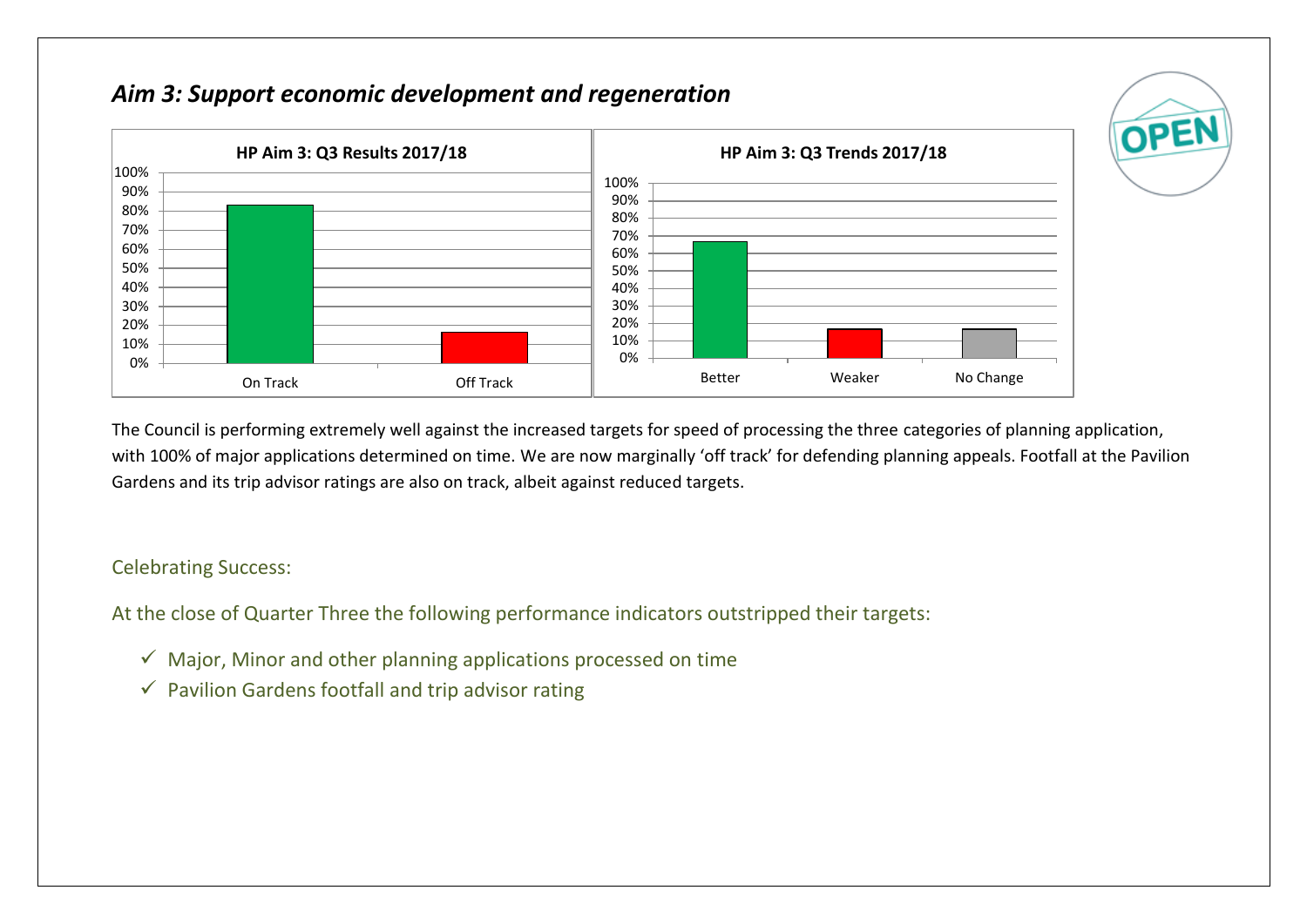## *Aim 3: Support economic development and regeneration*



The Council is performing extremely well against the increased targets for speed of processing the three categories of planning application, with 100% of major applications determined on time. We are now marginally 'off track' for defending planning appeals. Footfall at the Pavilion Gardens and its trip advisor ratings are also on track, albeit against reduced targets.

OPEI

#### Celebrating Success:

At the close of Quarter Three the following performance indicators outstripped their targets:

- $\checkmark$  Major, Minor and other planning applications processed on time
- $\checkmark$  Pavilion Gardens footfall and trip advisor rating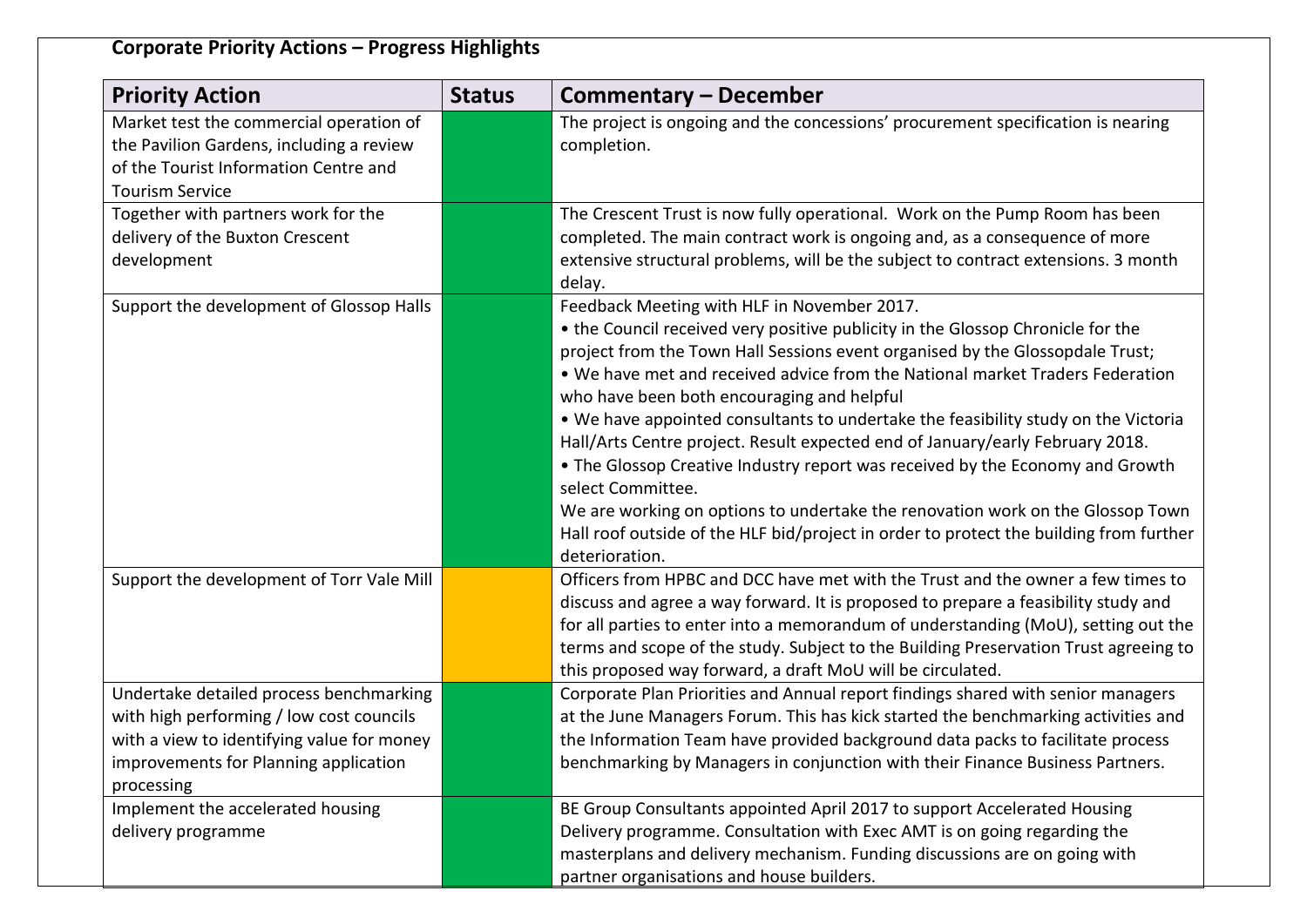## **Corporate Priority Actions – Progress Highlights**

| <b>Priority Action</b>                                                                                                                                                                   | <b>Status</b> | Commentary – December                                                                                                                                                                                                                                                                                                                                                                                                                                                                                                                                                                                                                                                                                                                                                                                                     |
|------------------------------------------------------------------------------------------------------------------------------------------------------------------------------------------|---------------|---------------------------------------------------------------------------------------------------------------------------------------------------------------------------------------------------------------------------------------------------------------------------------------------------------------------------------------------------------------------------------------------------------------------------------------------------------------------------------------------------------------------------------------------------------------------------------------------------------------------------------------------------------------------------------------------------------------------------------------------------------------------------------------------------------------------------|
| Market test the commercial operation of<br>the Pavilion Gardens, including a review<br>of the Tourist Information Centre and<br><b>Tourism Service</b>                                   |               | The project is ongoing and the concessions' procurement specification is nearing<br>completion.                                                                                                                                                                                                                                                                                                                                                                                                                                                                                                                                                                                                                                                                                                                           |
| Together with partners work for the<br>delivery of the Buxton Crescent<br>development                                                                                                    |               | The Crescent Trust is now fully operational. Work on the Pump Room has been<br>completed. The main contract work is ongoing and, as a consequence of more<br>extensive structural problems, will be the subject to contract extensions. 3 month<br>delay.                                                                                                                                                                                                                                                                                                                                                                                                                                                                                                                                                                 |
| Support the development of Glossop Halls                                                                                                                                                 |               | Feedback Meeting with HLF in November 2017.<br>• the Council received very positive publicity in the Glossop Chronicle for the<br>project from the Town Hall Sessions event organised by the Glossopdale Trust;<br>. We have met and received advice from the National market Traders Federation<br>who have been both encouraging and helpful<br>. We have appointed consultants to undertake the feasibility study on the Victoria<br>Hall/Arts Centre project. Result expected end of January/early February 2018.<br>• The Glossop Creative Industry report was received by the Economy and Growth<br>select Committee.<br>We are working on options to undertake the renovation work on the Glossop Town<br>Hall roof outside of the HLF bid/project in order to protect the building from further<br>deterioration. |
| Support the development of Torr Vale Mill                                                                                                                                                |               | Officers from HPBC and DCC have met with the Trust and the owner a few times to<br>discuss and agree a way forward. It is proposed to prepare a feasibility study and<br>for all parties to enter into a memorandum of understanding (MoU), setting out the<br>terms and scope of the study. Subject to the Building Preservation Trust agreeing to<br>this proposed way forward, a draft MoU will be circulated.                                                                                                                                                                                                                                                                                                                                                                                                         |
| Undertake detailed process benchmarking<br>with high performing / low cost councils<br>with a view to identifying value for money<br>improvements for Planning application<br>processing |               | Corporate Plan Priorities and Annual report findings shared with senior managers<br>at the June Managers Forum. This has kick started the benchmarking activities and<br>the Information Team have provided background data packs to facilitate process<br>benchmarking by Managers in conjunction with their Finance Business Partners.                                                                                                                                                                                                                                                                                                                                                                                                                                                                                  |
| Implement the accelerated housing<br>delivery programme                                                                                                                                  |               | BE Group Consultants appointed April 2017 to support Accelerated Housing<br>Delivery programme. Consultation with Exec AMT is on going regarding the<br>masterplans and delivery mechanism. Funding discussions are on going with<br>partner organisations and house builders.                                                                                                                                                                                                                                                                                                                                                                                                                                                                                                                                            |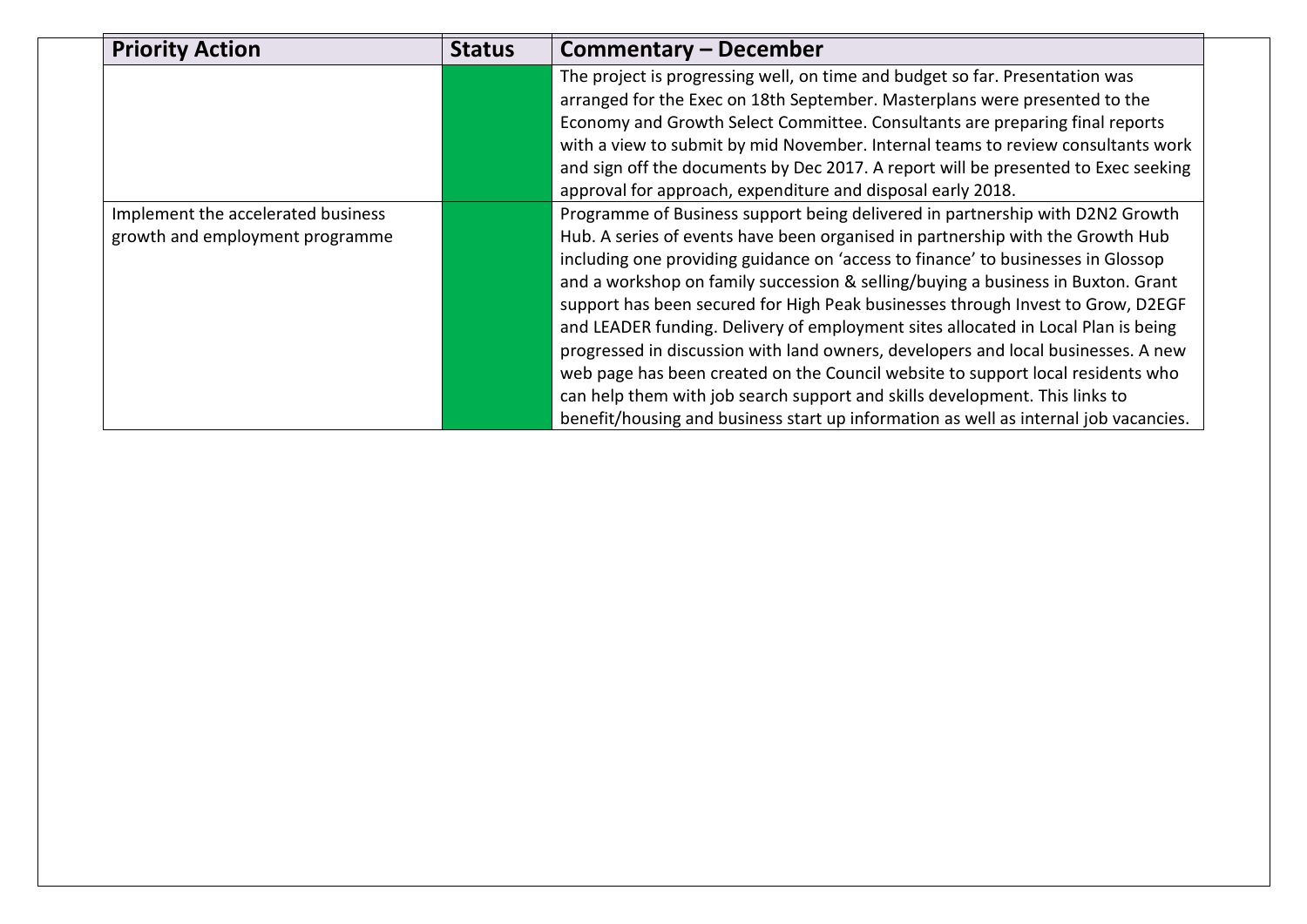| <b>Priority Action</b>             | <b>Status</b> | Commentary – December                                                                |
|------------------------------------|---------------|--------------------------------------------------------------------------------------|
|                                    |               | The project is progressing well, on time and budget so far. Presentation was         |
|                                    |               | arranged for the Exec on 18th September. Masterplans were presented to the           |
|                                    |               | Economy and Growth Select Committee. Consultants are preparing final reports         |
|                                    |               | with a view to submit by mid November. Internal teams to review consultants work     |
|                                    |               | and sign off the documents by Dec 2017. A report will be presented to Exec seeking   |
|                                    |               | approval for approach, expenditure and disposal early 2018.                          |
| Implement the accelerated business |               | Programme of Business support being delivered in partnership with D2N2 Growth        |
| growth and employment programme    |               | Hub. A series of events have been organised in partnership with the Growth Hub       |
|                                    |               | including one providing guidance on 'access to finance' to businesses in Glossop     |
|                                    |               | and a workshop on family succession & selling/buying a business in Buxton. Grant     |
|                                    |               | support has been secured for High Peak businesses through Invest to Grow, D2EGF      |
|                                    |               | and LEADER funding. Delivery of employment sites allocated in Local Plan is being    |
|                                    |               | progressed in discussion with land owners, developers and local businesses. A new    |
|                                    |               | web page has been created on the Council website to support local residents who      |
|                                    |               | can help them with job search support and skills development. This links to          |
|                                    |               | benefit/housing and business start up information as well as internal job vacancies. |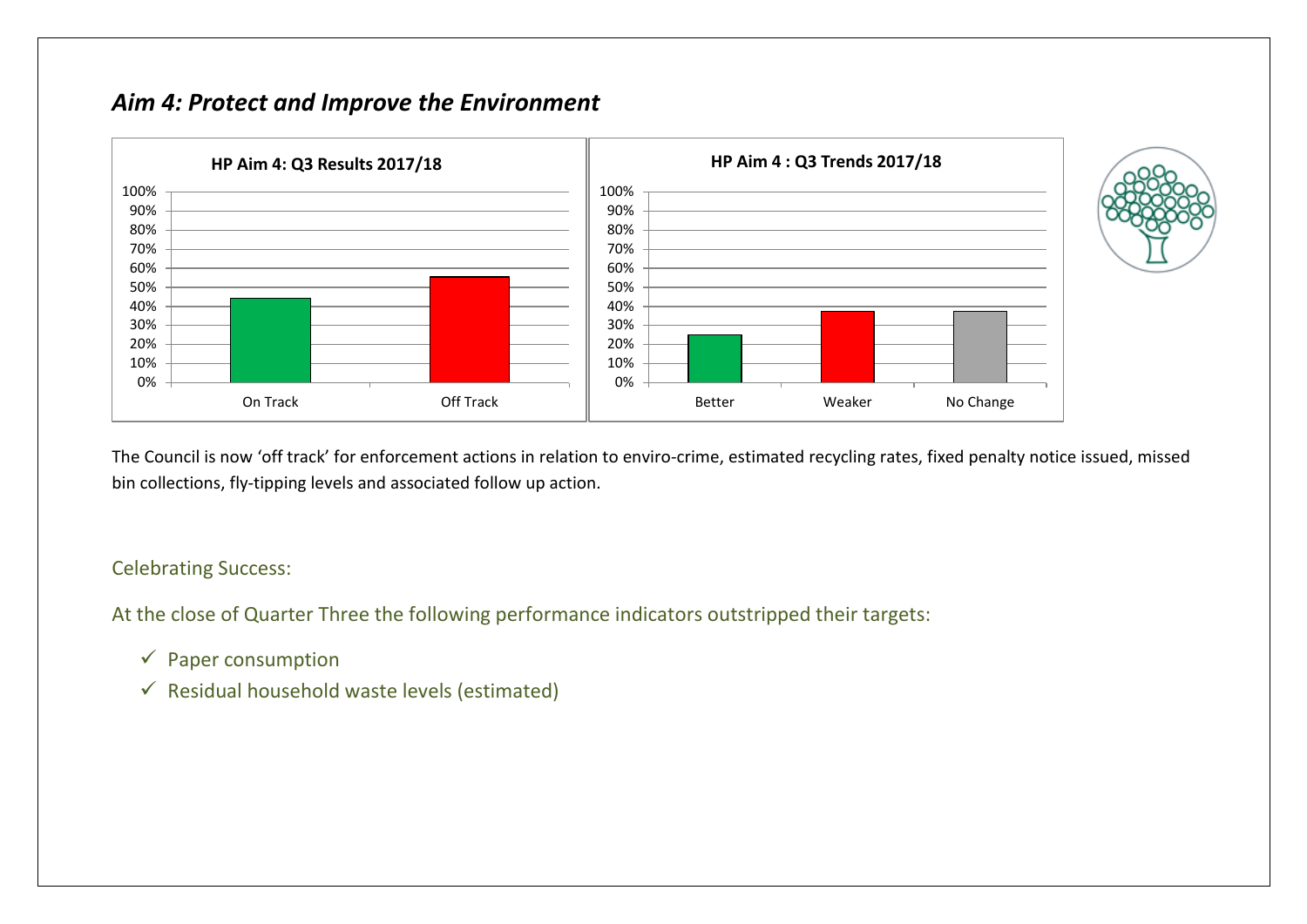## *Aim 4: Protect and Improve the Environment*



The Council is now 'off track' for enforcement actions in relation to enviro-crime, estimated recycling rates, fixed penalty notice issued, missed bin collections, fly-tipping levels and associated follow up action.

#### Celebrating Success:

At the close of Quarter Three the following performance indicators outstripped their targets:

- $\checkmark$  Paper consumption
- $\checkmark$  Residual household waste levels (estimated)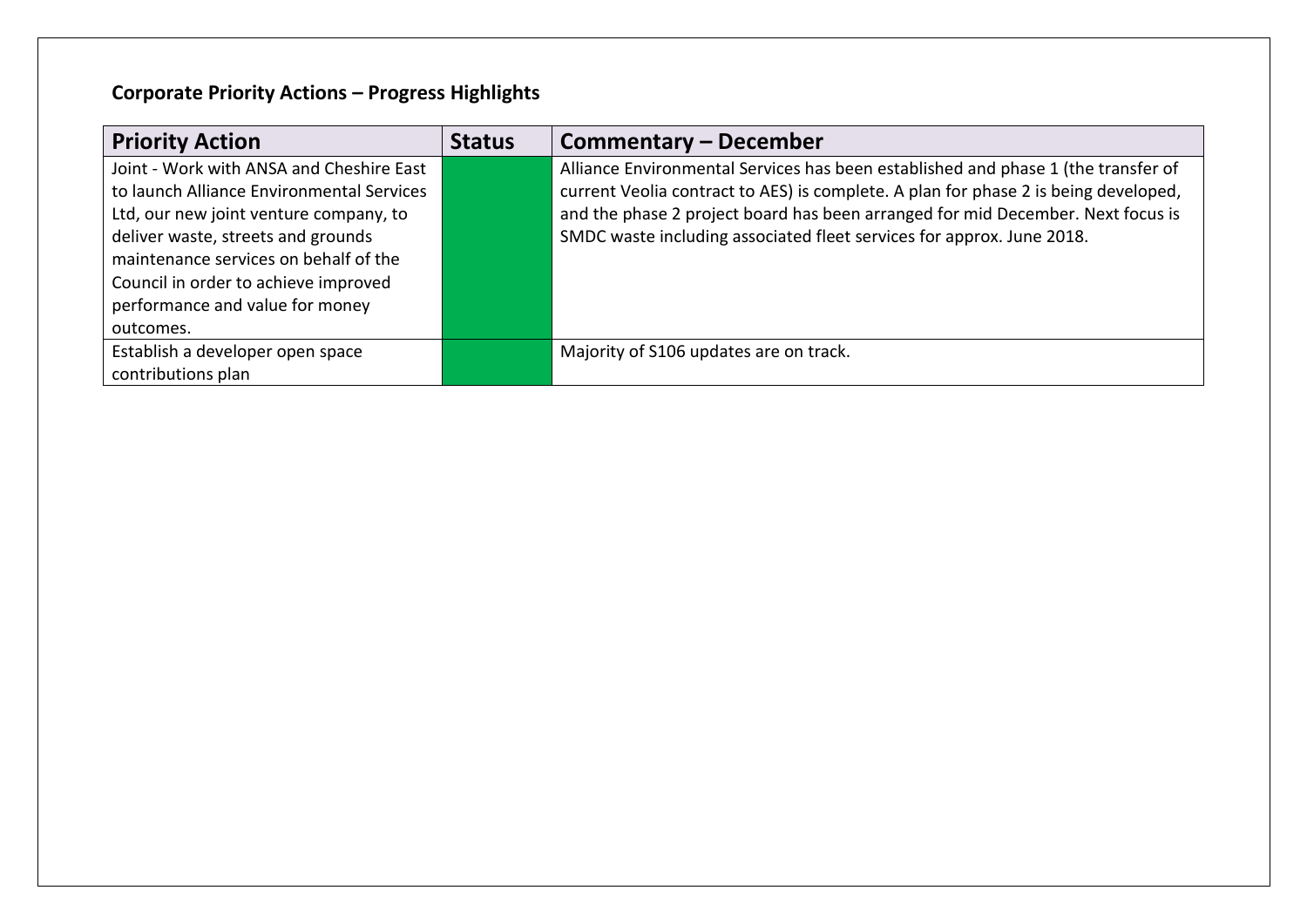# **Corporate Priority Actions – Progress Highlights**

| <b>Priority Action</b>                    | <b>Status</b> | Commentary – December                                                               |
|-------------------------------------------|---------------|-------------------------------------------------------------------------------------|
| Joint - Work with ANSA and Cheshire East  |               | Alliance Environmental Services has been established and phase 1 (the transfer of   |
| to launch Alliance Environmental Services |               | current Veolia contract to AES) is complete. A plan for phase 2 is being developed, |
| Ltd, our new joint venture company, to    |               | and the phase 2 project board has been arranged for mid December. Next focus is     |
| deliver waste, streets and grounds        |               | SMDC waste including associated fleet services for approx. June 2018.               |
| maintenance services on behalf of the     |               |                                                                                     |
| Council in order to achieve improved      |               |                                                                                     |
| performance and value for money           |               |                                                                                     |
| outcomes.                                 |               |                                                                                     |
| Establish a developer open space          |               | Majority of S106 updates are on track.                                              |
| contributions plan                        |               |                                                                                     |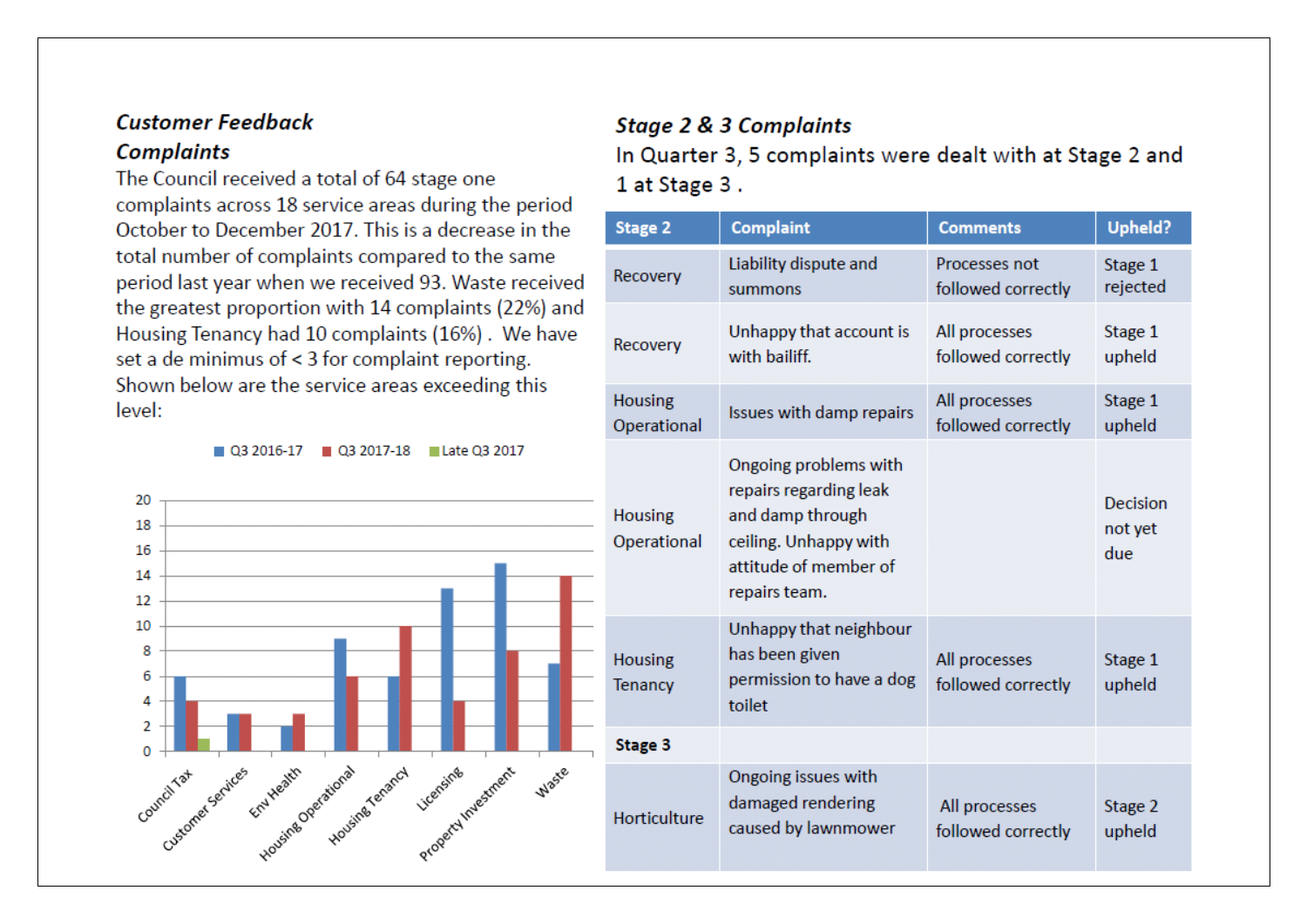# **Customer Feedback**

## **Complaints**

The Council received a total of 64 stage one complaints across 18 service areas during the period October to December 2017. This is a decrease in the total number of complaints compared to the same period last year when we received 93. Waste received the greatest proportion with 14 complaints (22%) and Housing Tenancy had 10 complaints (16%). We have set a de minimus of < 3 for complaint reporting. Shown below are the service areas exceeding this level:

#### ■ Q3 2016-17 ■ Q3 2017-18 ■ Late Q3 2017



### **Stage 2 & 3 Complaints**

In Quarter 3, 5 complaints were dealt with at Stage 2 and 1 at Stage 3.

| <b>Stage 2</b>                   | <b>Complaint</b>                                                                                                                       | <b>Comments</b>                     | <b>Upheld?</b>                    |
|----------------------------------|----------------------------------------------------------------------------------------------------------------------------------------|-------------------------------------|-----------------------------------|
| Recovery                         | Liability dispute and<br>summons                                                                                                       | Processes not<br>followed correctly | Stage 1<br>rejected               |
| Recovery                         | Unhappy that account is<br>with bailiff.                                                                                               | All processes<br>followed correctly | Stage 1<br>upheld                 |
| <b>Housing</b><br>Operational    | Issues with damp repairs                                                                                                               | All processes<br>followed correctly | Stage 1<br>upheld                 |
| <b>Housing</b><br>Operational    | Ongoing problems with<br>repairs regarding leak<br>and damp through<br>ceiling. Unhappy with<br>attitude of member of<br>repairs team. |                                     | <b>Decision</b><br>not yet<br>due |
| <b>Housing</b><br><b>Tenancy</b> | Unhappy that neighbour<br>has been given<br>permission to have a dog<br>toilet                                                         | All processes<br>followed correctly | Stage 1<br>upheld                 |
| Stage 3                          |                                                                                                                                        |                                     |                                   |
| Horticulture                     | Ongoing issues with<br>damaged rendering<br>caused by lawnmower                                                                        | All processes<br>followed correctly | Stage 2<br>upheld                 |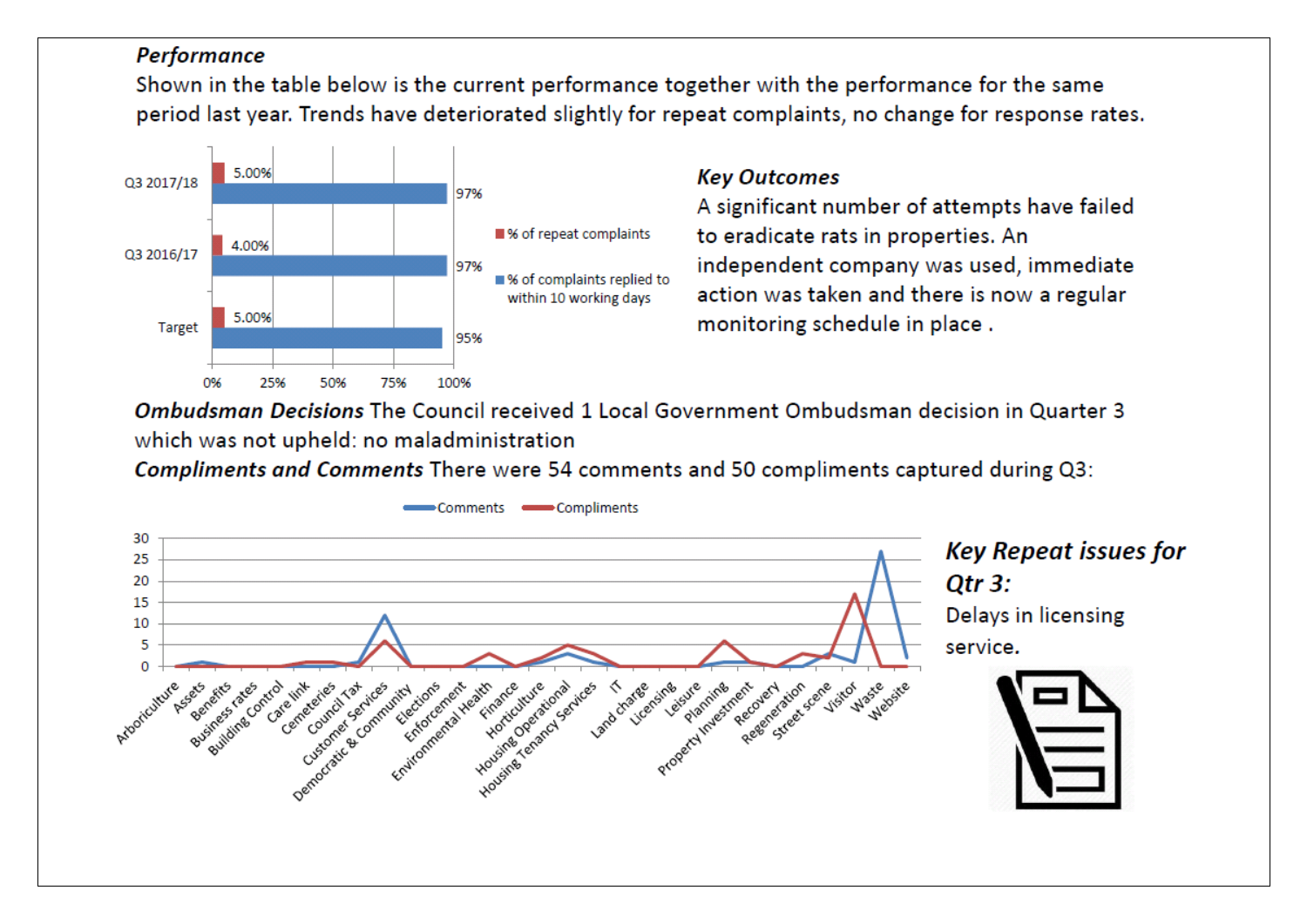### **Performance**

Shown in the table below is the current performance together with the performance for the same period last year. Trends have deteriorated slightly for repeat complaints, no change for response rates.



## **Key Outcomes**

A significant number of attempts have failed to eradicate rats in properties. An independent company was used, immediate action was taken and there is now a regular monitoring schedule in place.

Ombudsman Decisions The Council received 1 Local Government Ombudsman decision in Quarter 3 which was not upheld: no maladministration

Compliments and Comments There were 54 comments and 50 compliments captured during Q3:

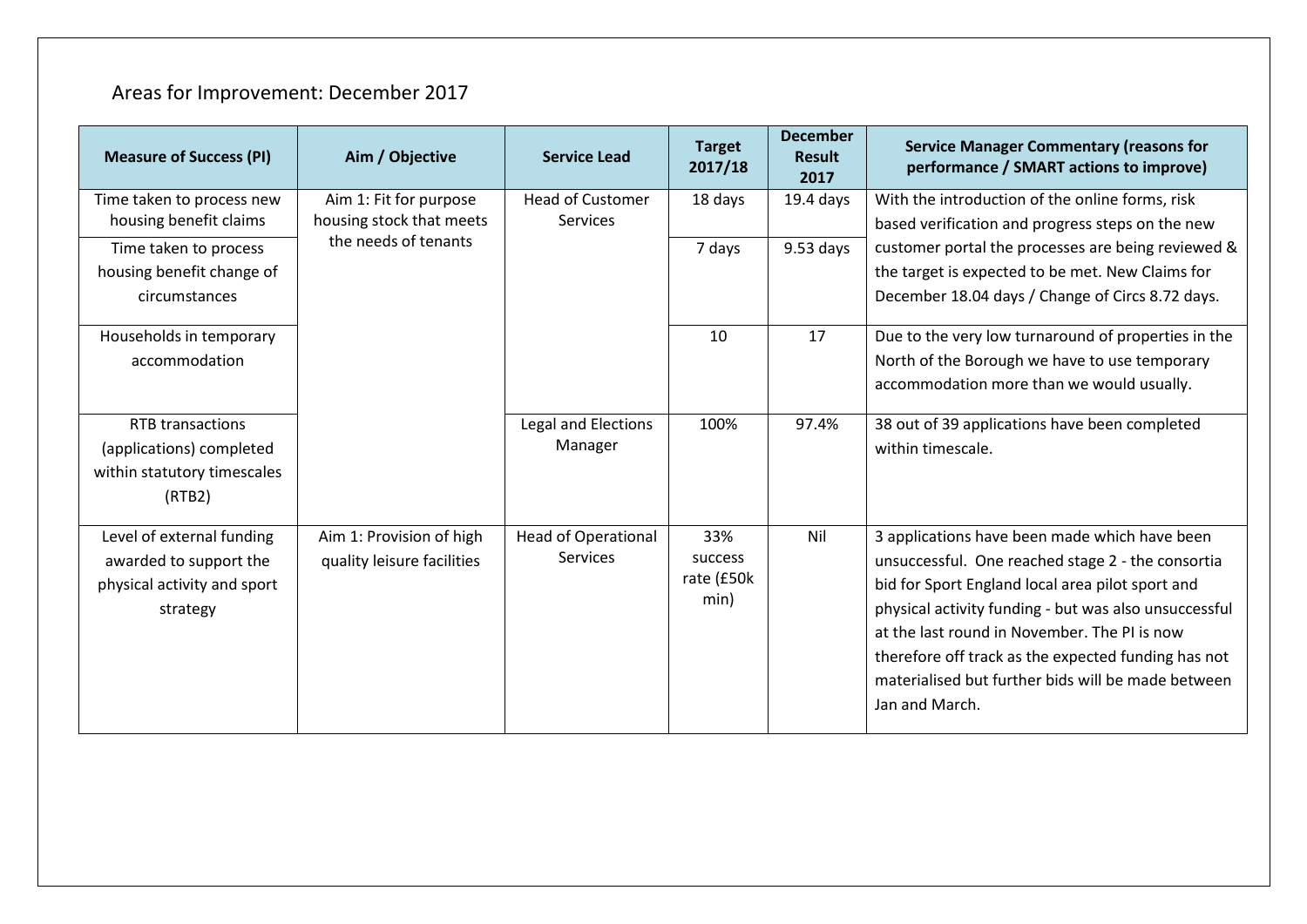## Areas for Improvement: December 2017

| <b>Measure of Success (PI)</b>                                                                 | Aim / Objective                                        | <b>Service Lead</b>                           | <b>Target</b><br>2017/18             | <b>December</b><br><b>Result</b><br>2017 | <b>Service Manager Commentary (reasons for</b><br>performance / SMART actions to improve)                                                                                                                                                                                                                                                                                                      |
|------------------------------------------------------------------------------------------------|--------------------------------------------------------|-----------------------------------------------|--------------------------------------|------------------------------------------|------------------------------------------------------------------------------------------------------------------------------------------------------------------------------------------------------------------------------------------------------------------------------------------------------------------------------------------------------------------------------------------------|
| Time taken to process new<br>housing benefit claims                                            | Aim 1: Fit for purpose<br>housing stock that meets     | <b>Head of Customer</b><br><b>Services</b>    | 18 days                              | $19.4$ days                              | With the introduction of the online forms, risk<br>based verification and progress steps on the new                                                                                                                                                                                                                                                                                            |
| Time taken to process<br>housing benefit change of<br>circumstances                            | the needs of tenants                                   |                                               | 7 days                               | $9.53$ days                              | customer portal the processes are being reviewed &<br>the target is expected to be met. New Claims for<br>December 18.04 days / Change of Circs 8.72 days.                                                                                                                                                                                                                                     |
| Households in temporary<br>accommodation                                                       |                                                        |                                               | 10                                   | 17                                       | Due to the very low turnaround of properties in the<br>North of the Borough we have to use temporary<br>accommodation more than we would usually.                                                                                                                                                                                                                                              |
| RTB transactions<br>(applications) completed<br>within statutory timescales<br>(RTB2)          |                                                        | Legal and Elections<br>Manager                | 100%                                 | 97.4%                                    | 38 out of 39 applications have been completed<br>within timescale.                                                                                                                                                                                                                                                                                                                             |
| Level of external funding<br>awarded to support the<br>physical activity and sport<br>strategy | Aim 1: Provision of high<br>quality leisure facilities | <b>Head of Operational</b><br><b>Services</b> | 33%<br>success<br>rate (£50k<br>min) | Nil                                      | 3 applications have been made which have been<br>unsuccessful. One reached stage 2 - the consortia<br>bid for Sport England local area pilot sport and<br>physical activity funding - but was also unsuccessful<br>at the last round in November. The PI is now<br>therefore off track as the expected funding has not<br>materialised but further bids will be made between<br>Jan and March. |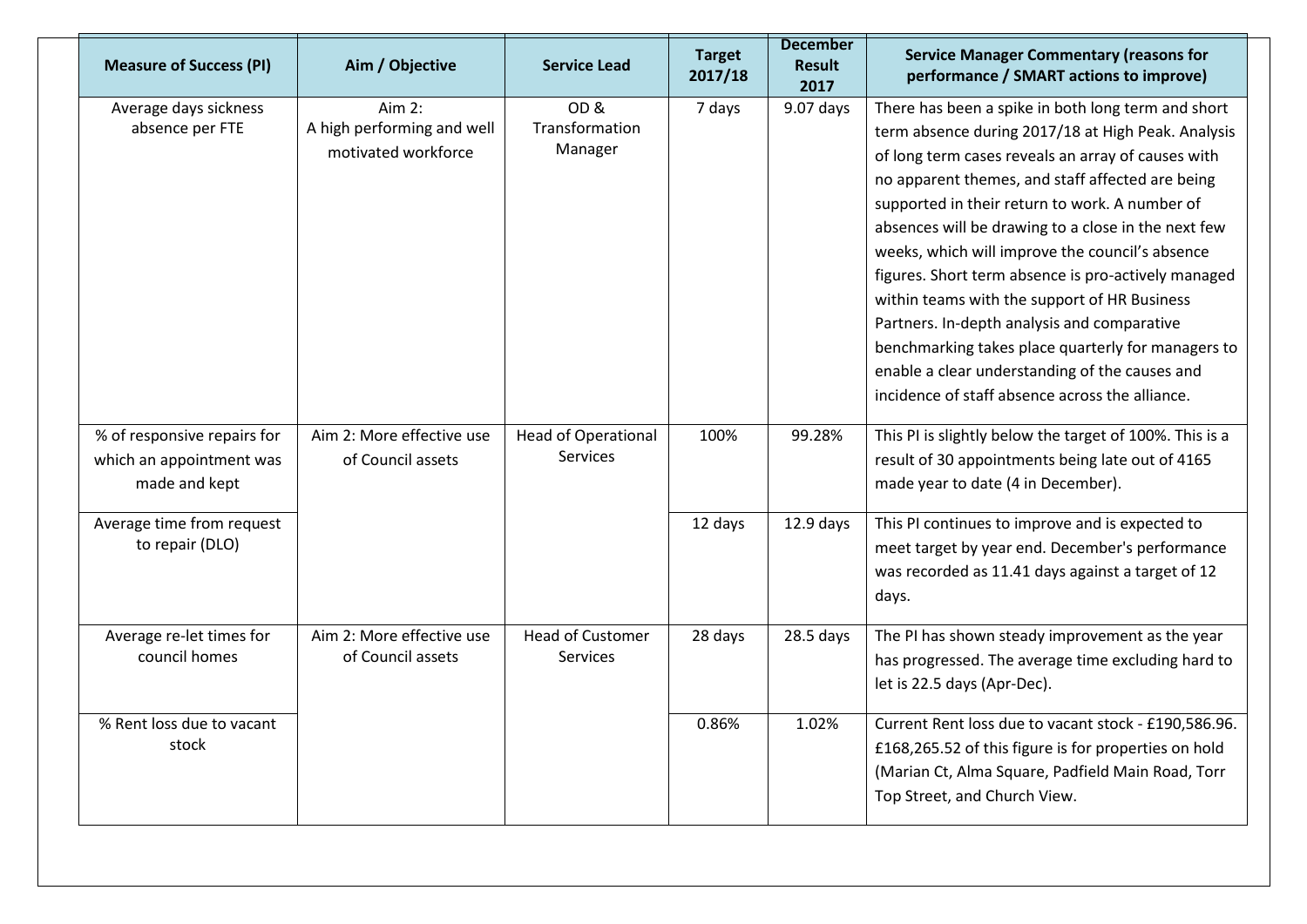| <b>Measure of Success (PI)</b>                                           | Aim / Objective                                               | <b>Service Lead</b>                           | <b>Target</b><br>2017/18 | <b>December</b><br><b>Result</b><br>2017 | <b>Service Manager Commentary (reasons for</b><br>performance / SMART actions to improve)                                                                                                                                                                                                                                                                                                                               |
|--------------------------------------------------------------------------|---------------------------------------------------------------|-----------------------------------------------|--------------------------|------------------------------------------|-------------------------------------------------------------------------------------------------------------------------------------------------------------------------------------------------------------------------------------------------------------------------------------------------------------------------------------------------------------------------------------------------------------------------|
| Average days sickness<br>absence per FTE                                 | Aim $2:$<br>A high performing and well<br>motivated workforce | OD&<br>Transformation<br>Manager              | 7 days                   | $9.07$ days                              | There has been a spike in both long term and short<br>term absence during 2017/18 at High Peak. Analysis<br>of long term cases reveals an array of causes with<br>no apparent themes, and staff affected are being<br>supported in their return to work. A number of                                                                                                                                                    |
|                                                                          |                                                               |                                               |                          |                                          | absences will be drawing to a close in the next few<br>weeks, which will improve the council's absence<br>figures. Short term absence is pro-actively managed<br>within teams with the support of HR Business<br>Partners. In-depth analysis and comparative<br>benchmarking takes place quarterly for managers to<br>enable a clear understanding of the causes and<br>incidence of staff absence across the alliance. |
| % of responsive repairs for<br>which an appointment was<br>made and kept | Aim 2: More effective use<br>of Council assets                | <b>Head of Operational</b><br><b>Services</b> | 100%                     | 99.28%                                   | This PI is slightly below the target of 100%. This is a<br>result of 30 appointments being late out of 4165<br>made year to date (4 in December).                                                                                                                                                                                                                                                                       |
| Average time from request<br>to repair (DLO)                             |                                                               |                                               | 12 days                  | $12.9$ days                              | This PI continues to improve and is expected to<br>meet target by year end. December's performance<br>was recorded as 11.41 days against a target of 12<br>days.                                                                                                                                                                                                                                                        |
| Average re-let times for<br>council homes                                | Aim 2: More effective use<br>of Council assets                | <b>Head of Customer</b><br><b>Services</b>    | 28 days                  | 28.5 days                                | The PI has shown steady improvement as the year<br>has progressed. The average time excluding hard to<br>let is 22.5 days (Apr-Dec).                                                                                                                                                                                                                                                                                    |
| % Rent loss due to vacant<br>stock                                       |                                                               |                                               | 0.86%                    | 1.02%                                    | Current Rent loss due to vacant stock - £190,586.96.<br>£168,265.52 of this figure is for properties on hold<br>(Marian Ct, Alma Square, Padfield Main Road, Torr<br>Top Street, and Church View.                                                                                                                                                                                                                       |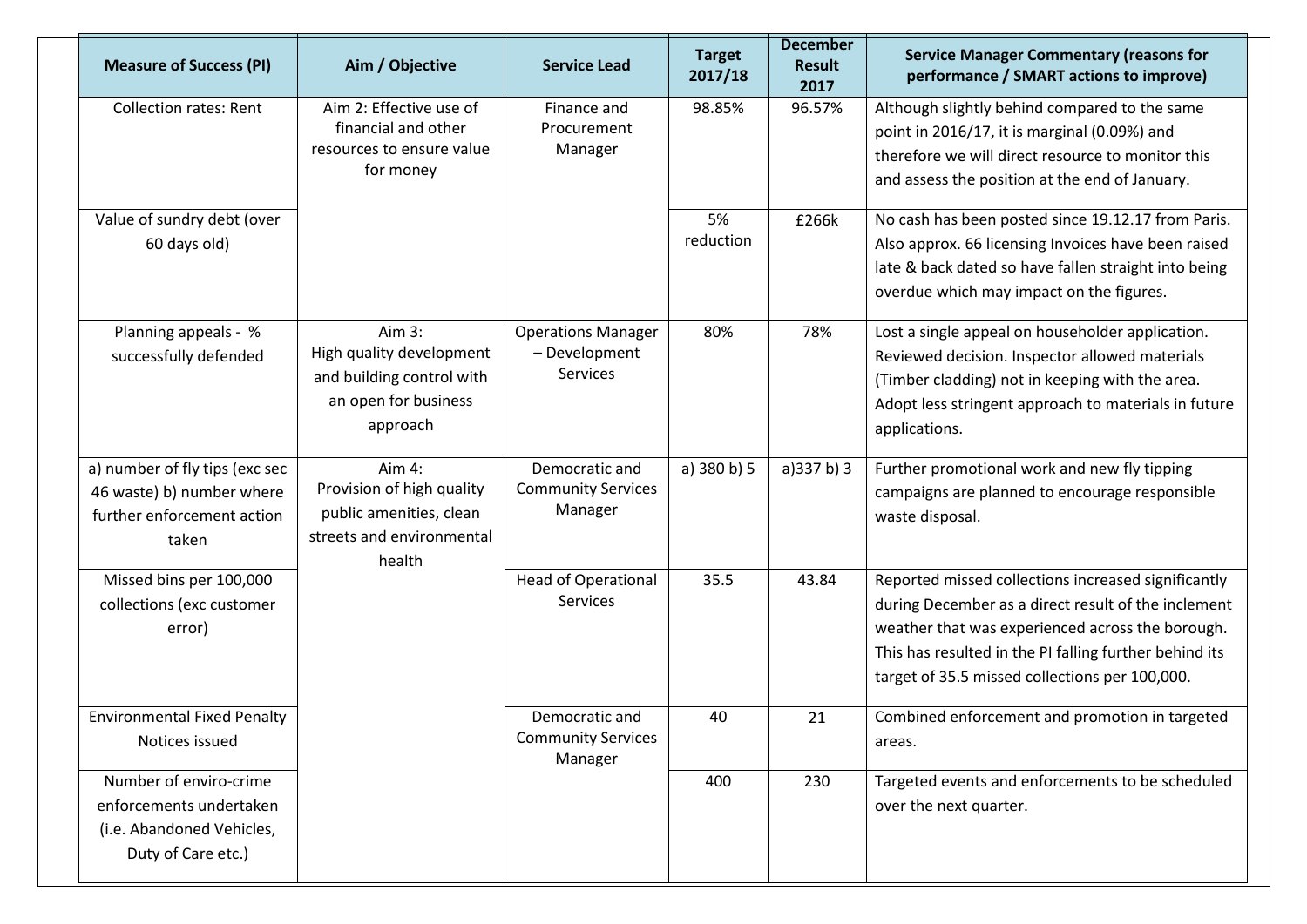| <b>Measure of Success (PI)</b>                                                                       | Aim / Objective                                                                                       | <b>Service Lead</b>                                    | <b>Target</b><br>2017/18 | <b>December</b><br><b>Result</b><br>2017 | <b>Service Manager Commentary (reasons for</b><br>performance / SMART actions to improve)                                                                                                                                                                                  |
|------------------------------------------------------------------------------------------------------|-------------------------------------------------------------------------------------------------------|--------------------------------------------------------|--------------------------|------------------------------------------|----------------------------------------------------------------------------------------------------------------------------------------------------------------------------------------------------------------------------------------------------------------------------|
| <b>Collection rates: Rent</b>                                                                        | Aim 2: Effective use of<br>financial and other<br>resources to ensure value<br>for money              | Finance and<br>Procurement<br>Manager                  | 98.85%                   | 96.57%                                   | Although slightly behind compared to the same<br>point in 2016/17, it is marginal (0.09%) and<br>therefore we will direct resource to monitor this<br>and assess the position at the end of January.                                                                       |
| Value of sundry debt (over<br>60 days old)                                                           |                                                                                                       |                                                        | 5%<br>reduction          | £266k                                    | No cash has been posted since 19.12.17 from Paris.<br>Also approx. 66 licensing Invoices have been raised<br>late & back dated so have fallen straight into being<br>overdue which may impact on the figures.                                                              |
| Planning appeals - %<br>successfully defended                                                        | Aim 3:<br>High quality development<br>and building control with<br>an open for business<br>approach   | <b>Operations Manager</b><br>- Development<br>Services | 80%                      | 78%                                      | Lost a single appeal on householder application.<br>Reviewed decision. Inspector allowed materials<br>(Timber cladding) not in keeping with the area.<br>Adopt less stringent approach to materials in future<br>applications.                                             |
| a) number of fly tips (exc sec<br>46 waste) b) number where<br>further enforcement action<br>taken   | Aim 4:<br>Provision of high quality<br>public amenities, clean<br>streets and environmental<br>health | Democratic and<br><b>Community Services</b><br>Manager | a) 380 b) 5              | a)337 b)3                                | Further promotional work and new fly tipping<br>campaigns are planned to encourage responsible<br>waste disposal.                                                                                                                                                          |
| Missed bins per 100,000<br>collections (exc customer<br>error)                                       |                                                                                                       | <b>Head of Operational</b><br><b>Services</b>          | 35.5                     | 43.84                                    | Reported missed collections increased significantly<br>during December as a direct result of the inclement<br>weather that was experienced across the borough.<br>This has resulted in the PI falling further behind its<br>target of 35.5 missed collections per 100,000. |
| <b>Environmental Fixed Penalty</b><br>Notices issued                                                 |                                                                                                       | Democratic and<br><b>Community Services</b><br>Manager | 40                       | 21                                       | Combined enforcement and promotion in targeted<br>areas.                                                                                                                                                                                                                   |
| Number of enviro-crime<br>enforcements undertaken<br>(i.e. Abandoned Vehicles,<br>Duty of Care etc.) |                                                                                                       |                                                        | 400                      | 230                                      | Targeted events and enforcements to be scheduled<br>over the next quarter.                                                                                                                                                                                                 |